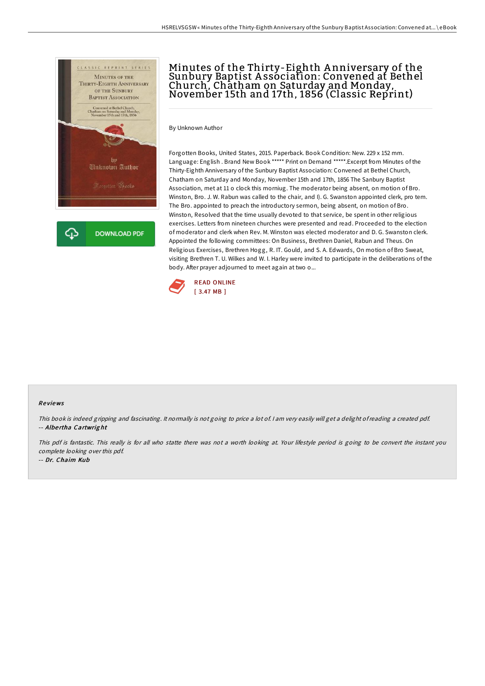

# Minutes of the Thirty-Eighth A nniversary of the Sunbury Baptist A ssociation: Convened at Bethel Church, Chatham on Saturday and Monday,<br>November 15th and 17th, 1856 (Classic Reprint)

By Unknown Author

Forgotten Books, United States, 2015. Paperback. Book Condition: New. 229 x 152 mm. Language: English . Brand New Book \*\*\*\*\* Print on Demand \*\*\*\*\*.Excerpt from Minutes of the Thirty-Eighth Anniversary of the Sunbury Baptist Association: Convened at Bethel Church, Chatham on Saturday and Monday, November 15th and 17th, 1856 The Sanbury Baptist Association, met at 11 o clock this morniug. The moderator being absent, on motion of Bro. Winston, Bro. J. W. Rabun was called to the chair, and I). G. Swanston appointed clerk, pro tem. The Bro. appointed to preach the introductory sermon, being absent, on motion of Bro. Winston, Resolved that the time usually devoted to that service, be spent in other religious exercises. Letters from nineteen churches were presented and read. Proceeded to the election of moderator and clerk when Rev. M. Winston was elected moderator and D. G. Swanston clerk. Appointed the following committees: On Business, Brethren Daniel, Rabun and Theus. On Religious Exercises, Brethren Hogg, R. IT. Gould, and S. A. Edwards, On motion of Bro Sweat, visiting Brethren T. U. Wilkes and W. I. Harley were invited to participate in the deliberations of the body. After prayer adjourned to meet again at two o...



#### Re views

This book is indeed gripping and fascinating. It normally is not going to price <sup>a</sup> lot of. <sup>I</sup> am very easily will get <sup>a</sup> delight ofreading <sup>a</sup> created pdf. -- Albe rtha Cartwrig ht

This pdf is fantastic. This really is for all who statte there was not <sup>a</sup> worth looking at. Your lifestyle period is going to be convert the instant you complete looking over this pdf.

-- Dr. Chaim Kub